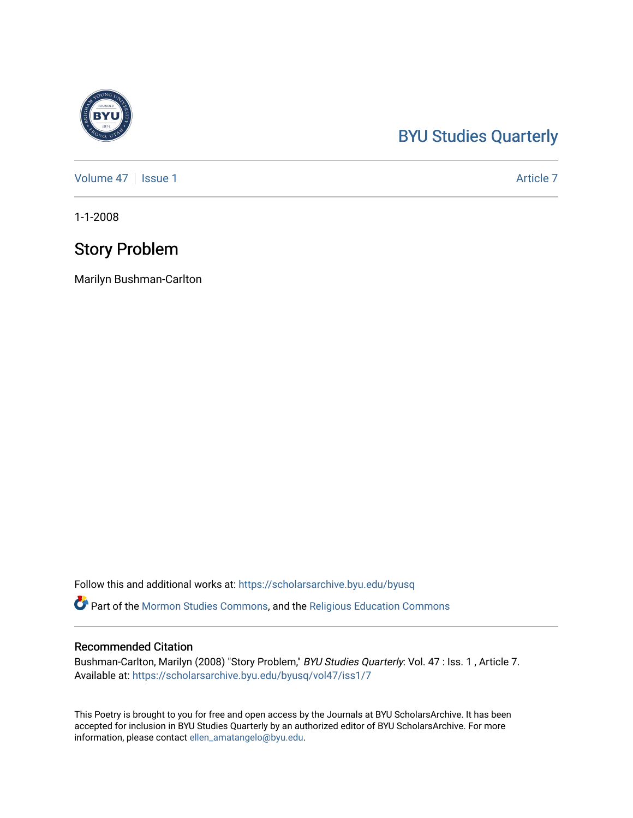# [BYU Studies Quarterly](https://scholarsarchive.byu.edu/byusq)

[Volume 47](https://scholarsarchive.byu.edu/byusq/vol47) | [Issue 1](https://scholarsarchive.byu.edu/byusq/vol47/iss1) Article 7

1-1-2008

### Story Problem

Marilyn Bushman-Carlton

Follow this and additional works at: [https://scholarsarchive.byu.edu/byusq](https://scholarsarchive.byu.edu/byusq?utm_source=scholarsarchive.byu.edu%2Fbyusq%2Fvol47%2Fiss1%2F7&utm_medium=PDF&utm_campaign=PDFCoverPages) 

Part of the [Mormon Studies Commons](http://network.bepress.com/hgg/discipline/1360?utm_source=scholarsarchive.byu.edu%2Fbyusq%2Fvol47%2Fiss1%2F7&utm_medium=PDF&utm_campaign=PDFCoverPages), and the [Religious Education Commons](http://network.bepress.com/hgg/discipline/1414?utm_source=scholarsarchive.byu.edu%2Fbyusq%2Fvol47%2Fiss1%2F7&utm_medium=PDF&utm_campaign=PDFCoverPages) 

### Recommended Citation

Bushman-Carlton, Marilyn (2008) "Story Problem," BYU Studies Quarterly: Vol. 47 : Iss. 1, Article 7. Available at: [https://scholarsarchive.byu.edu/byusq/vol47/iss1/7](https://scholarsarchive.byu.edu/byusq/vol47/iss1/7?utm_source=scholarsarchive.byu.edu%2Fbyusq%2Fvol47%2Fiss1%2F7&utm_medium=PDF&utm_campaign=PDFCoverPages)

This Poetry is brought to you for free and open access by the Journals at BYU ScholarsArchive. It has been accepted for inclusion in BYU Studies Quarterly by an authorized editor of BYU ScholarsArchive. For more information, please contact [ellen\\_amatangelo@byu.edu.](mailto:ellen_amatangelo@byu.edu)